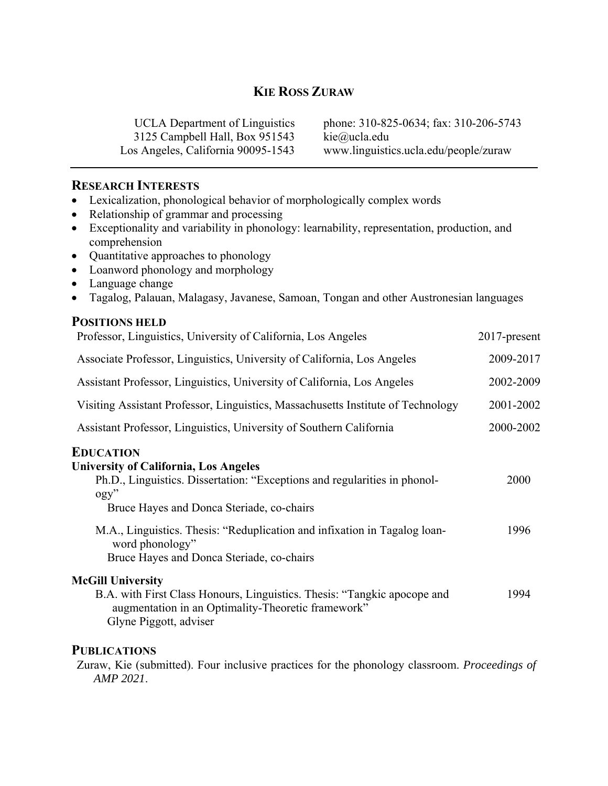# **KIE ROSS ZURAW**

3125 Campbell Hall, Box 951543 kie@ucla.edu

UCLA Department of Linguistics phone: 310-825-0634; fax: 310-206-5743 Los Angeles, California 90095-1543 www.linguistics.ucla.edu/people/zuraw

### **RESEARCH INTERESTS**

- Lexicalization, phonological behavior of morphologically complex words
- Relationship of grammar and processing
- Exceptionality and variability in phonology: learnability, representation, production, and comprehension
- Quantitative approaches to phonology
- Loanword phonology and morphology
- Language change
- Tagalog, Palauan, Malagasy, Javanese, Samoan, Tongan and other Austronesian languages

## **POSITIONS HELD**

| Professor, Linguistics, University of California, Los Angeles                                                                                                                                                                                                                                                                                         | $2017$ -present |
|-------------------------------------------------------------------------------------------------------------------------------------------------------------------------------------------------------------------------------------------------------------------------------------------------------------------------------------------------------|-----------------|
| Associate Professor, Linguistics, University of California, Los Angeles                                                                                                                                                                                                                                                                               | 2009-2017       |
| Assistant Professor, Linguistics, University of California, Los Angeles                                                                                                                                                                                                                                                                               | 2002-2009       |
| Visiting Assistant Professor, Linguistics, Massachusetts Institute of Technology                                                                                                                                                                                                                                                                      | 2001-2002       |
| Assistant Professor, Linguistics, University of Southern California                                                                                                                                                                                                                                                                                   | 2000-2002       |
| <b>EDUCATION</b><br><b>University of California, Los Angeles</b><br>Ph.D., Linguistics. Dissertation: "Exceptions and regularities in phonol-<br>$\log y$ "<br>Bruce Hayes and Donca Steriade, co-chairs<br>M.A., Linguistics. Thesis: "Reduplication and infixation in Tagalog loan-<br>word phonology"<br>Bruce Hayes and Donca Steriade, co-chairs | 2000<br>1996    |
| <b>McGill University</b><br>B.A. with First Class Honours, Linguistics. Thesis: "Tangkic apocope and<br>augmentation in an Optimality-Theoretic framework"<br>Glyne Piggott, adviser                                                                                                                                                                  | 1994            |

## **PUBLICATIONS**

Zuraw, Kie (submitted). Four inclusive practices for the phonology classroom. *Proceedings of AMP 2021*.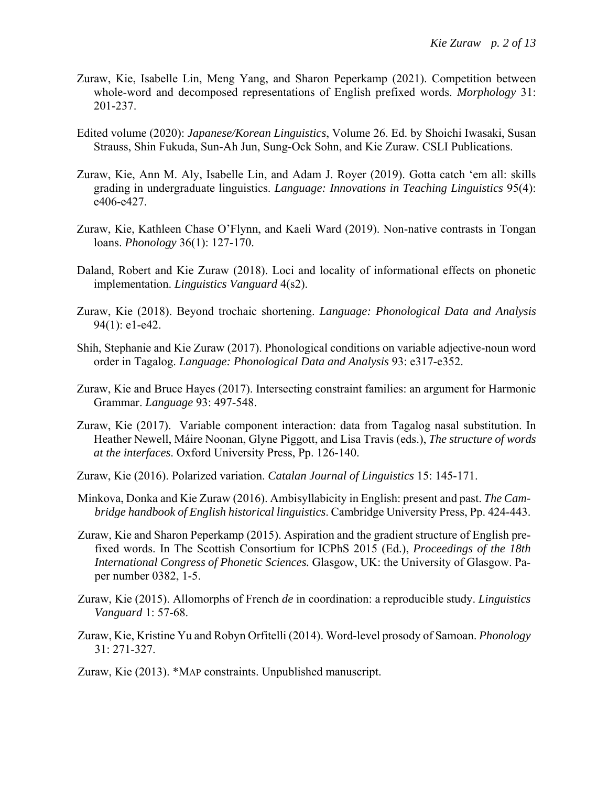- Zuraw, Kie, Isabelle Lin, Meng Yang, and Sharon Peperkamp (2021). Competition between whole-word and decomposed representations of English prefixed words. *Morphology* 31: 201-237.
- Edited volume (2020): *Japanese/Korean Linguistics*, Volume 26. Ed. by Shoichi Iwasaki, Susan Strauss, Shin Fukuda, Sun-Ah Jun, Sung-Ock Sohn, and Kie Zuraw. CSLI Publications.
- Zuraw, Kie, Ann M. Aly, Isabelle Lin, and Adam J. Royer (2019). Gotta catch 'em all: skills grading in undergraduate linguistics. *Language: Innovations in Teaching Linguistics* 95(4): e406-e427.
- Zuraw, Kie, Kathleen Chase O'Flynn, and Kaeli Ward (2019). Non-native contrasts in Tongan loans. *Phonology* 36(1): 127-170.
- Daland, Robert and Kie Zuraw (2018). Loci and locality of informational effects on phonetic implementation. *Linguistics Vanguard* 4(s2).
- Zuraw, Kie (2018). Beyond trochaic shortening. *Language: Phonological Data and Analysis* 94(1): e1-e42.
- Shih, Stephanie and Kie Zuraw (2017). Phonological conditions on variable adjective-noun word order in Tagalog. *Language: Phonological Data and Analysis* 93: e317-e352.
- Zuraw, Kie and Bruce Hayes (2017). Intersecting constraint families: an argument for Harmonic Grammar. *Language* 93: 497-548.
- Zuraw, Kie (2017). Variable component interaction: data from Tagalog nasal substitution. In Heather Newell, Máire Noonan, Glyne Piggott, and Lisa Travis (eds.), *The structure of words at the interfaces*. Oxford University Press, Pp. 126-140.
- Zuraw, Kie (2016). Polarized variation. *Catalan Journal of Linguistics* 15: 145-171.
- Minkova, Donka and Kie Zuraw (2016). Ambisyllabicity in English: present and past. *The Cambridge handbook of English historical linguistics*. Cambridge University Press, Pp. 424-443.
- Zuraw, Kie and Sharon Peperkamp (2015). Aspiration and the gradient structure of English prefixed words. In The Scottish Consortium for ICPhS 2015 (Ed.), *Proceedings of the 18th International Congress of Phonetic Sciences.* Glasgow, UK: the University of Glasgow. Paper number 0382, 1-5.
- Zuraw, Kie (2015). Allomorphs of French *de* in coordination: a reproducible study. *Linguistics Vanguard* 1: 57-68.
- Zuraw, Kie, Kristine Yu and Robyn Orfitelli (2014). Word-level prosody of Samoan. *Phonology* 31: 271-327.
- Zuraw, Kie (2013). \*MAP constraints. Unpublished manuscript.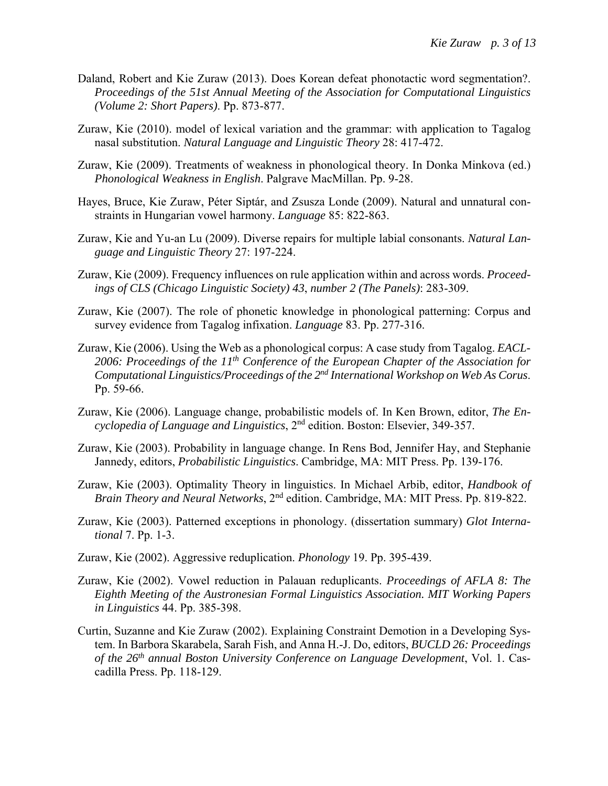- Daland, Robert and Kie Zuraw (2013). Does Korean defeat phonotactic word segmentation?. *Proceedings of the 51st Annual Meeting of the Association for Computational Linguistics (Volume 2: Short Papers)*. Pp. 873-877.
- Zuraw, Kie (2010). model of lexical variation and the grammar: with application to Tagalog nasal substitution. *Natural Language and Linguistic Theory* 28: 417-472.
- Zuraw, Kie (2009). Treatments of weakness in phonological theory. In Donka Minkova (ed.) *Phonological Weakness in English*. Palgrave MacMillan. Pp. 9-28.
- Hayes, Bruce, Kie Zuraw, Péter Siptár, and Zsusza Londe (2009). Natural and unnatural constraints in Hungarian vowel harmony. *Language* 85: 822-863.
- Zuraw, Kie and Yu-an Lu (2009). Diverse repairs for multiple labial consonants. *Natural Language and Linguistic Theory* 27: 197-224.
- Zuraw, Kie (2009). Frequency influences on rule application within and across words. *Proceedings of CLS (Chicago Linguistic Society) 43*, *number 2 (The Panels)*: 283-309.
- Zuraw, Kie (2007). The role of phonetic knowledge in phonological patterning: Corpus and survey evidence from Tagalog infixation. *Language* 83. Pp. 277-316.
- Zuraw, Kie (2006). Using the Web as a phonological corpus: A case study from Tagalog. *EACL-2006: Proceedings of the 11th Conference of the European Chapter of the Association for Computational Linguistics/Proceedings of the 2nd International Workshop on Web As Corus*. Pp. 59-66.
- Zuraw, Kie (2006). Language change, probabilistic models of. In Ken Brown, editor, *The Encyclopedia of Language and Linguistics*, 2nd edition. Boston: Elsevier, 349-357.
- Zuraw, Kie (2003). Probability in language change. In Rens Bod, Jennifer Hay, and Stephanie Jannedy, editors, *Probabilistic Linguistics*. Cambridge, MA: MIT Press. Pp. 139-176.
- Zuraw, Kie (2003). Optimality Theory in linguistics. In Michael Arbib, editor, *Handbook of Brain Theory and Neural Networks*, 2nd edition. Cambridge, MA: MIT Press. Pp. 819-822.
- Zuraw, Kie (2003). Patterned exceptions in phonology. (dissertation summary) *Glot International* 7. Pp. 1-3.
- Zuraw, Kie (2002). Aggressive reduplication. *Phonology* 19. Pp. 395-439.
- Zuraw, Kie (2002). Vowel reduction in Palauan reduplicants. *Proceedings of AFLA 8: The Eighth Meeting of the Austronesian Formal Linguistics Association. MIT Working Papers in Linguistics* 44. Pp. 385-398.
- Curtin, Suzanne and Kie Zuraw (2002). Explaining Constraint Demotion in a Developing System. In Barbora Skarabela, Sarah Fish, and Anna H.-J. Do, editors, *BUCLD 26: Proceedings of the 26th annual Boston University Conference on Language Development*, Vol. 1. Cascadilla Press. Pp. 118-129.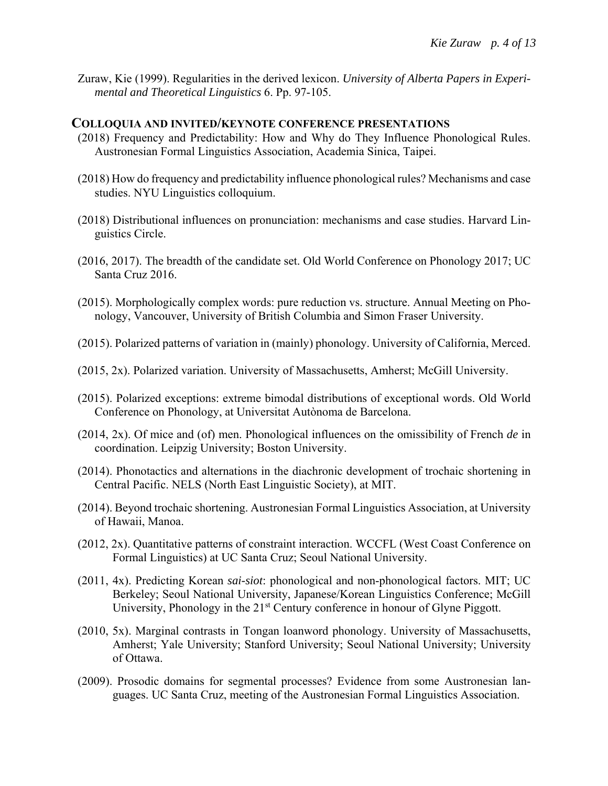Zuraw, Kie (1999). Regularities in the derived lexicon. *University of Alberta Papers in Experimental and Theoretical Linguistics* 6. Pp. 97-105.

### **COLLOQUIA AND INVITED/KEYNOTE CONFERENCE PRESENTATIONS**

- (2018) Frequency and Predictability: How and Why do They Influence Phonological Rules. Austronesian Formal Linguistics Association, Academia Sinica, Taipei.
- (2018) How do frequency and predictability influence phonological rules? Mechanisms and case studies. NYU Linguistics colloquium.
- (2018) Distributional influences on pronunciation: mechanisms and case studies. Harvard Linguistics Circle.
- (2016, 2017). The breadth of the candidate set. Old World Conference on Phonology 2017; UC Santa Cruz 2016.
- (2015). Morphologically complex words: pure reduction vs. structure. Annual Meeting on Phonology, Vancouver, University of British Columbia and Simon Fraser University.
- (2015). Polarized patterns of variation in (mainly) phonology. University of California, Merced.
- (2015, 2x). Polarized variation. University of Massachusetts, Amherst; McGill University.
- (2015). Polarized exceptions: extreme bimodal distributions of exceptional words. Old World Conference on Phonology, at Universitat Autònoma de Barcelona.
- (2014, 2x). Of mice and (of) men. Phonological influences on the omissibility of French *de* in coordination. Leipzig University; Boston University.
- (2014). Phonotactics and alternations in the diachronic development of trochaic shortening in Central Pacific. NELS (North East Linguistic Society), at MIT.
- (2014). Beyond trochaic shortening. Austronesian Formal Linguistics Association, at University of Hawaii, Manoa.
- (2012, 2x). Quantitative patterns of constraint interaction. WCCFL (West Coast Conference on Formal Linguistics) at UC Santa Cruz; Seoul National University.
- (2011, 4x). Predicting Korean *sai-siot*: phonological and non-phonological factors. MIT; UC Berkeley; Seoul National University, Japanese/Korean Linguistics Conference; McGill University, Phonology in the 21<sup>st</sup> Century conference in honour of Glyne Piggott.
- (2010, 5x). Marginal contrasts in Tongan loanword phonology. University of Massachusetts, Amherst; Yale University; Stanford University; Seoul National University; University of Ottawa.
- (2009). Prosodic domains for segmental processes? Evidence from some Austronesian languages. UC Santa Cruz, meeting of the Austronesian Formal Linguistics Association.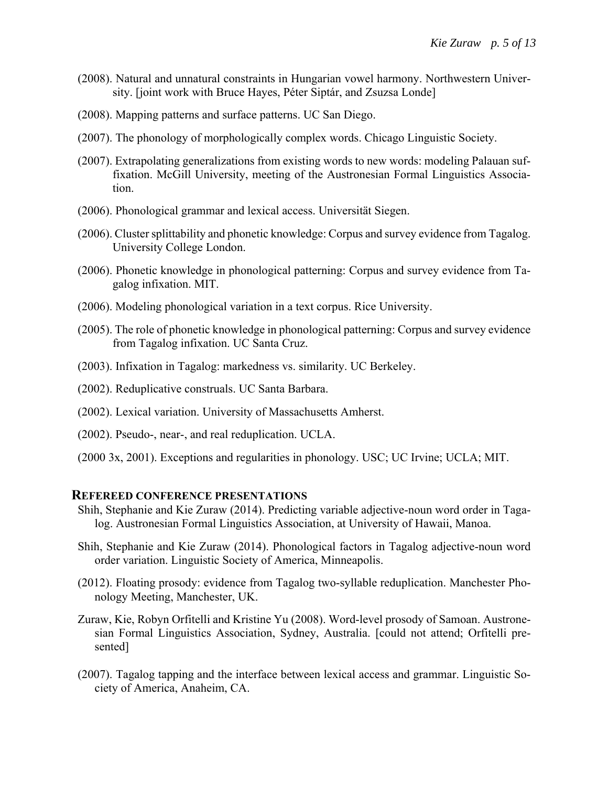- (2008). Natural and unnatural constraints in Hungarian vowel harmony. Northwestern University. [joint work with Bruce Hayes, Péter Siptár, and Zsuzsa Londe]
- (2008). Mapping patterns and surface patterns. UC San Diego.
- (2007). The phonology of morphologically complex words. Chicago Linguistic Society.
- (2007). Extrapolating generalizations from existing words to new words: modeling Palauan suffixation. McGill University, meeting of the Austronesian Formal Linguistics Association.
- (2006). Phonological grammar and lexical access. Universität Siegen.
- (2006). Cluster splittability and phonetic knowledge: Corpus and survey evidence from Tagalog. University College London.
- (2006). Phonetic knowledge in phonological patterning: Corpus and survey evidence from Tagalog infixation. MIT.
- (2006). Modeling phonological variation in a text corpus. Rice University.
- (2005). The role of phonetic knowledge in phonological patterning: Corpus and survey evidence from Tagalog infixation. UC Santa Cruz.
- (2003). Infixation in Tagalog: markedness vs. similarity. UC Berkeley.
- (2002). Reduplicative construals. UC Santa Barbara.
- (2002). Lexical variation. University of Massachusetts Amherst.
- (2002). Pseudo-, near-, and real reduplication. UCLA.
- (2000 3x, 2001). Exceptions and regularities in phonology. USC; UC Irvine; UCLA; MIT.

#### **REFEREED CONFERENCE PRESENTATIONS**

- Shih, Stephanie and Kie Zuraw (2014). Predicting variable adjective-noun word order in Tagalog. Austronesian Formal Linguistics Association, at University of Hawaii, Manoa.
- Shih, Stephanie and Kie Zuraw (2014). Phonological factors in Tagalog adjective-noun word order variation. Linguistic Society of America, Minneapolis.
- (2012). Floating prosody: evidence from Tagalog two-syllable reduplication. Manchester Phonology Meeting, Manchester, UK.
- Zuraw, Kie, Robyn Orfitelli and Kristine Yu (2008). Word-level prosody of Samoan. Austronesian Formal Linguistics Association, Sydney, Australia. [could not attend; Orfitelli presented]
- (2007). Tagalog tapping and the interface between lexical access and grammar. Linguistic Society of America, Anaheim, CA.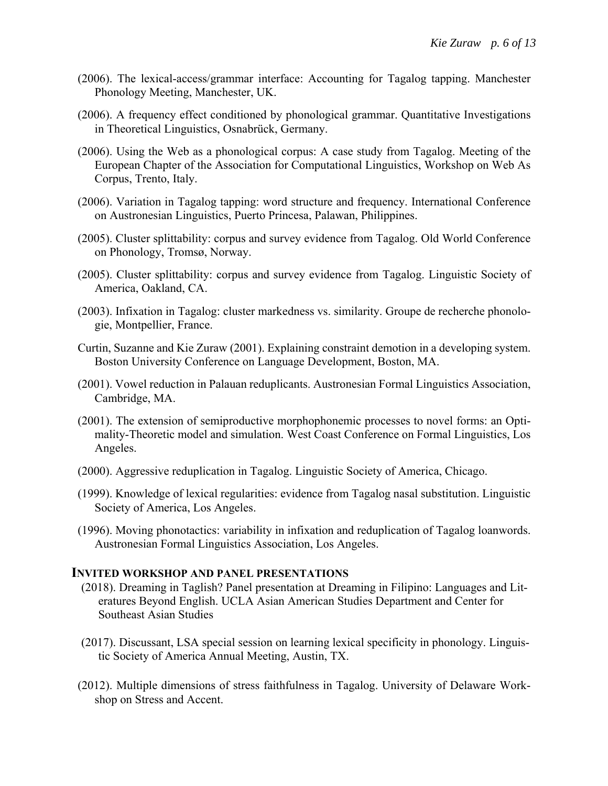- (2006). The lexical-access/grammar interface: Accounting for Tagalog tapping. Manchester Phonology Meeting, Manchester, UK.
- (2006). A frequency effect conditioned by phonological grammar. Quantitative Investigations in Theoretical Linguistics, Osnabrück, Germany.
- (2006). Using the Web as a phonological corpus: A case study from Tagalog. Meeting of the European Chapter of the Association for Computational Linguistics, Workshop on Web As Corpus, Trento, Italy.
- (2006). Variation in Tagalog tapping: word structure and frequency. International Conference on Austronesian Linguistics, Puerto Princesa, Palawan, Philippines.
- (2005). Cluster splittability: corpus and survey evidence from Tagalog. Old World Conference on Phonology, Tromsø, Norway.
- (2005). Cluster splittability: corpus and survey evidence from Tagalog. Linguistic Society of America, Oakland, CA.
- (2003). Infixation in Tagalog: cluster markedness vs. similarity. Groupe de recherche phonologie, Montpellier, France.
- Curtin, Suzanne and Kie Zuraw (2001). Explaining constraint demotion in a developing system. Boston University Conference on Language Development, Boston, MA.
- (2001). Vowel reduction in Palauan reduplicants. Austronesian Formal Linguistics Association, Cambridge, MA.
- (2001). The extension of semiproductive morphophonemic processes to novel forms: an Optimality-Theoretic model and simulation. West Coast Conference on Formal Linguistics, Los Angeles.
- (2000). Aggressive reduplication in Tagalog. Linguistic Society of America, Chicago.
- (1999). Knowledge of lexical regularities: evidence from Tagalog nasal substitution. Linguistic Society of America, Los Angeles.
- (1996). Moving phonotactics: variability in infixation and reduplication of Tagalog loanwords. Austronesian Formal Linguistics Association, Los Angeles.

### **INVITED WORKSHOP AND PANEL PRESENTATIONS**

- (2018). Dreaming in Taglish? Panel presentation at Dreaming in Filipino: Languages and Literatures Beyond English. UCLA Asian American Studies Department and Center for Southeast Asian Studies
- (2017). Discussant, LSA special session on learning lexical specificity in phonology. Linguistic Society of America Annual Meeting, Austin, TX.
- (2012). Multiple dimensions of stress faithfulness in Tagalog. University of Delaware Workshop on Stress and Accent.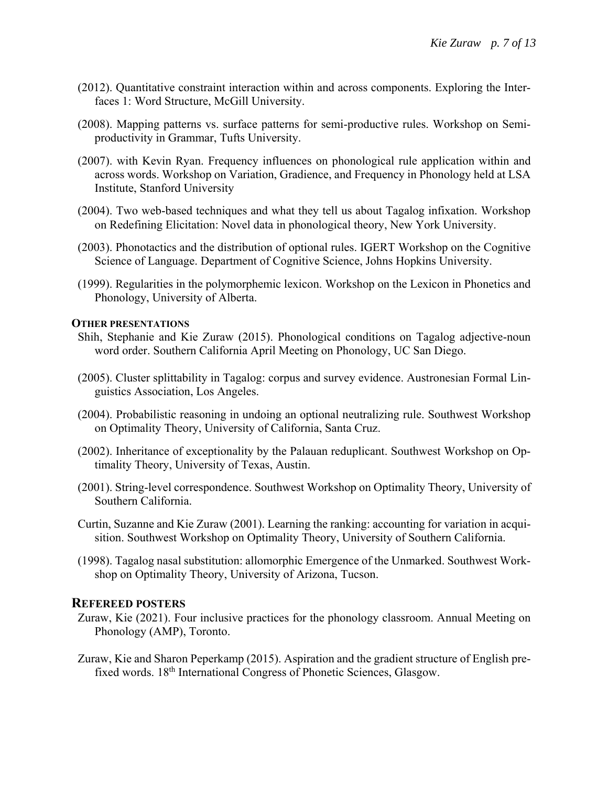- (2012). Quantitative constraint interaction within and across components. Exploring the Interfaces 1: Word Structure, McGill University.
- (2008). Mapping patterns vs. surface patterns for semi-productive rules. Workshop on Semiproductivity in Grammar, Tufts University.
- (2007). with Kevin Ryan. Frequency influences on phonological rule application within and across words. Workshop on Variation, Gradience, and Frequency in Phonology held at LSA Institute, Stanford University
- (2004). Two web-based techniques and what they tell us about Tagalog infixation. Workshop on Redefining Elicitation: Novel data in phonological theory, New York University.
- (2003). Phonotactics and the distribution of optional rules. IGERT Workshop on the Cognitive Science of Language. Department of Cognitive Science, Johns Hopkins University.
- (1999). Regularities in the polymorphemic lexicon. Workshop on the Lexicon in Phonetics and Phonology, University of Alberta.

### **OTHER PRESENTATIONS**

- Shih, Stephanie and Kie Zuraw (2015). Phonological conditions on Tagalog adjective-noun word order. Southern California April Meeting on Phonology, UC San Diego.
- (2005). Cluster splittability in Tagalog: corpus and survey evidence. Austronesian Formal Linguistics Association, Los Angeles.
- (2004). Probabilistic reasoning in undoing an optional neutralizing rule. Southwest Workshop on Optimality Theory, University of California, Santa Cruz.
- (2002). Inheritance of exceptionality by the Palauan reduplicant. Southwest Workshop on Optimality Theory, University of Texas, Austin.
- (2001). String-level correspondence. Southwest Workshop on Optimality Theory, University of Southern California.
- Curtin, Suzanne and Kie Zuraw (2001). Learning the ranking: accounting for variation in acquisition. Southwest Workshop on Optimality Theory, University of Southern California.
- (1998). Tagalog nasal substitution: allomorphic Emergence of the Unmarked. Southwest Workshop on Optimality Theory, University of Arizona, Tucson.

#### **REFEREED POSTERS**

- Zuraw, Kie (2021). Four inclusive practices for the phonology classroom. Annual Meeting on Phonology (AMP), Toronto.
- Zuraw, Kie and Sharon Peperkamp (2015). Aspiration and the gradient structure of English prefixed words. 18th International Congress of Phonetic Sciences, Glasgow.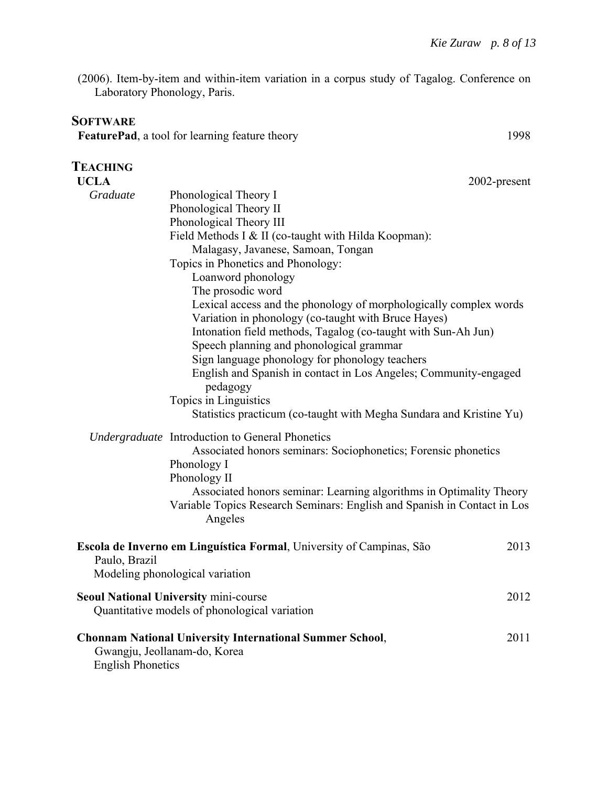(2006). Item-by-item and within-item variation in a corpus study of Tagalog. Conference on Laboratory Phonology, Paris.

## **SOFTWARE**

**FeaturePad**, a tool for learning feature theory 1998

| TEACHING                 |                                                                                                                                                                                                                                                                                                                                                                                                                                                                                              |              |
|--------------------------|----------------------------------------------------------------------------------------------------------------------------------------------------------------------------------------------------------------------------------------------------------------------------------------------------------------------------------------------------------------------------------------------------------------------------------------------------------------------------------------------|--------------|
| <b>UCLA</b>              |                                                                                                                                                                                                                                                                                                                                                                                                                                                                                              | 2002-present |
| Graduate                 | Phonological Theory I<br>Phonological Theory II<br>Phonological Theory III<br>Field Methods I & II (co-taught with Hilda Koopman):<br>Malagasy, Javanese, Samoan, Tongan<br>Topics in Phonetics and Phonology:<br>Loanword phonology                                                                                                                                                                                                                                                         |              |
|                          | The prosodic word<br>Lexical access and the phonology of morphologically complex words<br>Variation in phonology (co-taught with Bruce Hayes)<br>Intonation field methods, Tagalog (co-taught with Sun-Ah Jun)<br>Speech planning and phonological grammar<br>Sign language phonology for phonology teachers<br>English and Spanish in contact in Los Angeles; Community-engaged<br>pedagogy<br>Topics in Linguistics<br>Statistics practicum (co-taught with Megha Sundara and Kristine Yu) |              |
|                          | Undergraduate Introduction to General Phonetics<br>Associated honors seminars: Sociophonetics; Forensic phonetics<br>Phonology I<br>Phonology II<br>Associated honors seminar: Learning algorithms in Optimality Theory<br>Variable Topics Research Seminars: English and Spanish in Contact in Los<br>Angeles                                                                                                                                                                               |              |
| Paulo, Brazil            | Escola de Inverno em Linguística Formal, University of Campinas, São<br>Modeling phonological variation                                                                                                                                                                                                                                                                                                                                                                                      | 2013         |
|                          | <b>Seoul National University mini-course</b><br>Quantitative models of phonological variation                                                                                                                                                                                                                                                                                                                                                                                                | 2012         |
| <b>English Phonetics</b> | <b>Chonnam National University International Summer School,</b><br>Gwangju, Jeollanam-do, Korea                                                                                                                                                                                                                                                                                                                                                                                              | 2011         |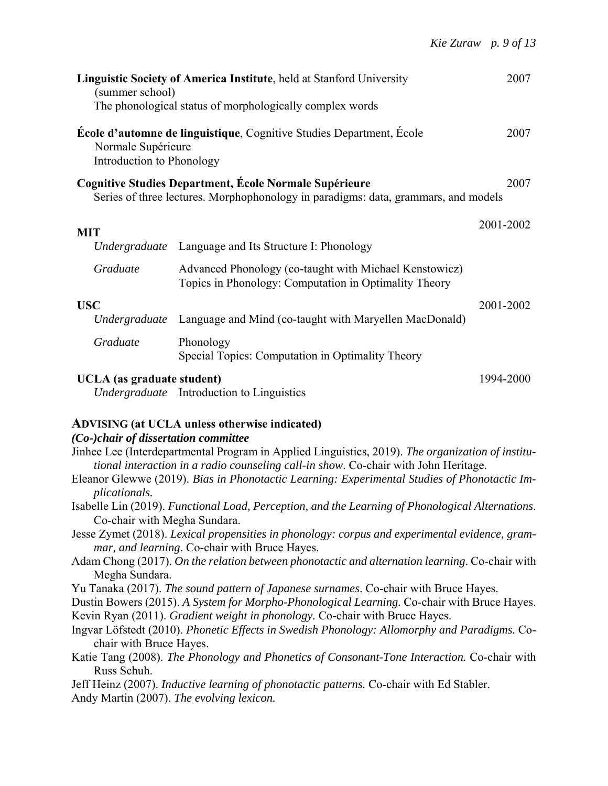| (summer school)                                 | <b>Linguistic Society of America Institute, held at Stanford University</b><br>The phonological status of morphologically complex words      | 2007      |
|-------------------------------------------------|----------------------------------------------------------------------------------------------------------------------------------------------|-----------|
| Normale Supérieure<br>Introduction to Phonology | <b>École d'automne de linguistique, Cognitive Studies Department, École</b>                                                                  | 2007      |
|                                                 | Cognitive Studies Department, École Normale Supérieure<br>Series of three lectures. Morphophonology in paradigms: data, grammars, and models | 2007      |
| <b>MIT</b>                                      |                                                                                                                                              | 2001-2002 |
| Undergraduate                                   | Language and Its Structure I: Phonology                                                                                                      |           |
| Graduate                                        | Advanced Phonology (co-taught with Michael Kenstowicz)<br>Topics in Phonology: Computation in Optimality Theory                              |           |
| <b>USC</b>                                      |                                                                                                                                              | 2001-2002 |
| Undergraduate                                   | Language and Mind (co-taught with Maryellen MacDonald)                                                                                       |           |
| Graduate                                        | Phonology<br>Special Topics: Computation in Optimality Theory                                                                                |           |
| UCLA (as graduate student)                      | <i>Undergraduate</i> Introduction to Linguistics                                                                                             | 1994-2000 |

## **ADVISING (at UCLA unless otherwise indicated)**

### *(Co-)chair of dissertation committee*

- Jinhee Lee (Interdepartmental Program in Applied Linguistics, 2019). *The organization of institutional interaction in a radio counseling call-in show*. Co-chair with John Heritage.
- Eleanor Glewwe (2019). *Bias in Phonotactic Learning: Experimental Studies of Phonotactic Implicationals.*
- Isabelle Lin (2019). *Functional Load, Perception, and the Learning of Phonological Alternations*. Co-chair with Megha Sundara.
- Jesse Zymet (2018). *Lexical propensities in phonology: corpus and experimental evidence, grammar, and learning*. Co-chair with Bruce Hayes.
- Adam Chong (2017). *On the relation between phonotactic and alternation learning*. Co-chair with Megha Sundara.
- Yu Tanaka (2017). *The sound pattern of Japanese surnames*. Co-chair with Bruce Hayes.
- Dustin Bowers (2015). *A System for Morpho-Phonological Learning.* Co-chair with Bruce Hayes. Kevin Ryan (2011). *Gradient weight in phonology.* Co-chair with Bruce Hayes.
- Ingvar Löfstedt (2010). *Phonetic Effects in Swedish Phonology: Allomorphy and Paradigms.* Cochair with Bruce Hayes.
- Katie Tang (2008). *The Phonology and Phonetics of Consonant-Tone Interaction.* Co-chair with Russ Schuh.
- Jeff Heinz (2007). *Inductive learning of phonotactic patterns.* Co-chair with Ed Stabler.

Andy Martin (2007). *The evolving lexicon.*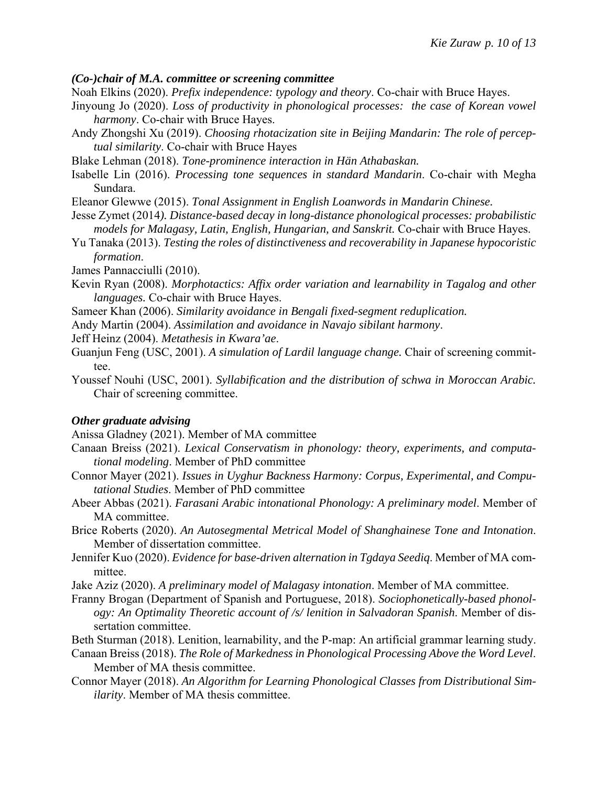### *(Co-)chair of M.A. committee or screening committee*

- Noah Elkins (2020). *Prefix independence: typology and theory*. Co-chair with Bruce Hayes.
- Jinyoung Jo (2020). *Loss of productivity in phonological processes: the case of Korean vowel harmony*. Co-chair with Bruce Hayes.
- Andy Zhongshi Xu (2019). *Choosing rhotacization site in Beijing Mandarin: The role of perceptual similarity*. Co-chair with Bruce Hayes
- Blake Lehman (2018). *Tone-prominence interaction in Hän Athabaskan.*
- Isabelle Lin (2016). *Processing tone sequences in standard Mandarin*. Co-chair with Megha Sundara.
- Eleanor Glewwe (2015). *Tonal Assignment in English Loanwords in Mandarin Chinese.*
- Jesse Zymet (2014*). Distance-based decay in long-distance phonological processes: probabilistic models for Malagasy, Latin, English, Hungarian, and Sanskrit.* Co-chair with Bruce Hayes.
- Yu Tanaka (2013). *Testing the roles of distinctiveness and recoverability in Japanese hypocoristic formation*.
- James Pannacciulli (2010).
- Kevin Ryan (2008). *Morphotactics: Affix order variation and learnability in Tagalog and other languages.* Co-chair with Bruce Hayes.
- Sameer Khan (2006). *Similarity avoidance in Bengali fixed-segment reduplication.*
- Andy Martin (2004). *Assimilation and avoidance in Navajo sibilant harmony*.
- Jeff Heinz (2004). *Metathesis in Kwara'ae*.
- Guanjun Feng (USC, 2001). *A simulation of Lardil language change.* Chair of screening committee.
- Youssef Nouhi (USC, 2001). *Syllabification and the distribution of schwa in Moroccan Arabic.* Chair of screening committee.

## *Other graduate advising*

Anissa Gladney (2021). Member of MA committee

- Canaan Breiss (2021). *Lexical Conservatism in phonology: theory, experiments, and computational modeling*. Member of PhD committee
- Connor Mayer (2021). *Issues in Uyghur Backness Harmony: Corpus, Experimental, and Computational Studies*. Member of PhD committee
- Abeer Abbas (2021). *Farasani Arabic intonational Phonology: A preliminary model*. Member of MA committee.
- Brice Roberts (2020). *An Autosegmental Metrical Model of Shanghainese Tone and Intonation*. Member of dissertation committee.
- Jennifer Kuo (2020). *Evidence for base-driven alternation in Tgdaya Seediq*. Member of MA committee.
- Jake Aziz (2020). *A preliminary model of Malagasy intonation*. Member of MA committee.
- Franny Brogan (Department of Spanish and Portuguese, 2018). *Sociophonetically-based phonology: An Optimality Theoretic account of /s/ lenition in Salvadoran Spanish*. Member of dissertation committee.
- Beth Sturman (2018). Lenition, learnability, and the P-map: An artificial grammar learning study.
- Canaan Breiss (2018). *The Role of Markedness in Phonological Processing Above the Word Level*. Member of MA thesis committee.
- Connor Mayer (2018). *An Algorithm for Learning Phonological Classes from Distributional Similarity*. Member of MA thesis committee.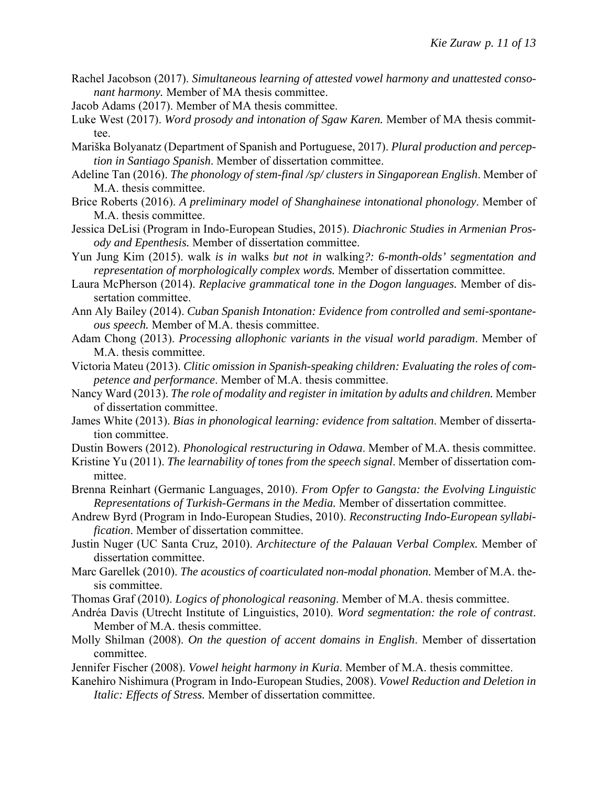- Rachel Jacobson (2017). *Simultaneous learning of attested vowel harmony and unattested consonant harmony.* Member of MA thesis committee.
- Jacob Adams (2017). Member of MA thesis committee.
- Luke West (2017). *Word prosody and intonation of Sgaw Karen.* Member of MA thesis committee.
- Mariška Bolyanatz (Department of Spanish and Portuguese, 2017). *Plural production and perception in Santiago Spanish*. Member of dissertation committee.
- Adeline Tan (2016). *The phonology of stem-final /sp/ clusters in Singaporean English*. Member of M.A. thesis committee.
- Brice Roberts (2016). *A preliminary model of Shanghainese intonational phonology*. Member of M.A. thesis committee.
- Jessica DeLisi (Program in Indo-European Studies, 2015). *Diachronic Studies in Armenian Prosody and Epenthesis.* Member of dissertation committee.
- Yun Jung Kim (2015). walk *is in* walks *but not in* walking*?: 6-month-olds' segmentation and representation of morphologically complex words.* Member of dissertation committee.
- Laura McPherson (2014). *Replacive grammatical tone in the Dogon languages.* Member of dissertation committee.
- Ann Aly Bailey (2014). *Cuban Spanish Intonation: Evidence from controlled and semi-spontaneous speech.* Member of M.A. thesis committee.
- Adam Chong (2013). *Processing allophonic variants in the visual world paradigm*. Member of M.A. thesis committee.
- Victoria Mateu (2013). *Clitic omission in Spanish-speaking children: Evaluating the roles of competence and performance*. Member of M.A. thesis committee.
- Nancy Ward (2013). *The role of modality and register in imitation by adults and children.* Member of dissertation committee.
- James White (2013). *Bias in phonological learning: evidence from saltation*. Member of dissertation committee.
- Dustin Bowers (2012). *Phonological restructuring in Odawa*. Member of M.A. thesis committee.
- Kristine Yu (2011). *The learnability of tones from the speech signal*. Member of dissertation committee.
- Brenna Reinhart (Germanic Languages, 2010). *From Opfer to Gangsta: the Evolving Linguistic Representations of Turkish-Germans in the Media.* Member of dissertation committee.
- Andrew Byrd (Program in Indo-European Studies, 2010). *Reconstructing Indo-European syllabification*. Member of dissertation committee.
- Justin Nuger (UC Santa Cruz, 2010). *Architecture of the Palauan Verbal Complex.* Member of dissertation committee.
- Marc Garellek (2010). *The acoustics of coarticulated non-modal phonation.* Member of M.A. thesis committee.
- Thomas Graf (2010). *Logics of phonological reasoning*. Member of M.A. thesis committee.
- Andréa Davis (Utrecht Institute of Linguistics, 2010). *Word segmentation: the role of contrast*. Member of M.A. thesis committee.
- Molly Shilman (2008). *On the question of accent domains in English*. Member of dissertation committee.
- Jennifer Fischer (2008). *Vowel height harmony in Kuria*. Member of M.A. thesis committee.
- Kanehiro Nishimura (Program in Indo-European Studies, 2008). *Vowel Reduction and Deletion in Italic: Effects of Stress.* Member of dissertation committee.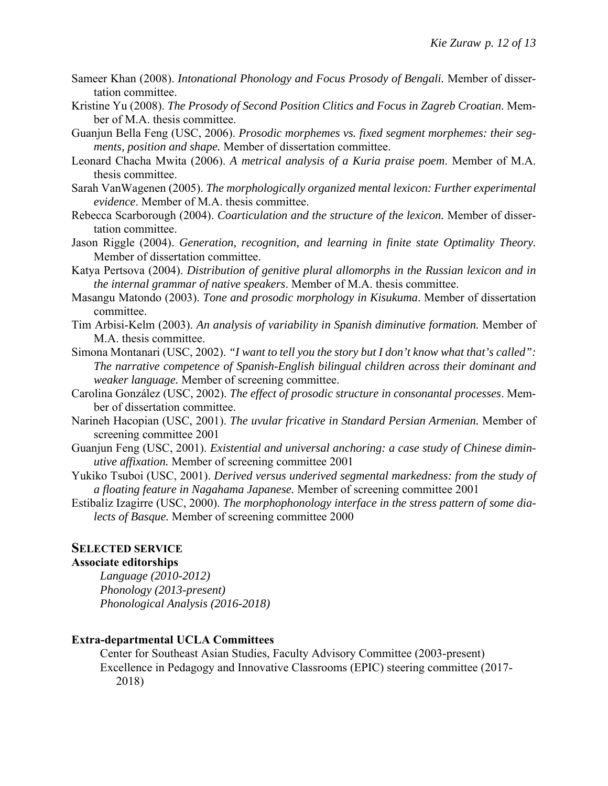- Sameer Khan (2008). *Intonational Phonology and Focus Prosody of Bengali.* Member of dissertation committee.
- Kristine Yu (2008). *The Prosody of Second Position Clitics and Focus in Zagreb Croatian*. Member of M.A. thesis committee.
- Guanjun Bella Feng (USC, 2006). *Prosodic morphemes vs. fixed segment morphemes: their segments, position and shape.* Member of dissertation committee.
- Leonard Chacha Mwita (2006). *A metrical analysis of a Kuria praise poem*. Member of M.A. thesis committee.
- Sarah VanWagenen (2005). *The morphologically organized mental lexicon: Further experimental evidence*. Member of M.A. thesis committee.
- Rebecca Scarborough (2004). *Coarticulation and the structure of the lexicon.* Member of dissertation committee.
- Jason Riggle (2004). *Generation, recognition, and learning in finite state Optimality Theory.* Member of dissertation committee.
- Katya Pertsova (2004). *Distribution of genitive plural allomorphs in the Russian lexicon and in the internal grammar of native speakers*. Member of M.A. thesis committee.
- Masangu Matondo (2003). *Tone and prosodic morphology in Kisukuma*. Member of dissertation committee.
- Tim Arbisi-Kelm (2003). *An analysis of variability in Spanish diminutive formation.* Member of M.A. thesis committee.
- Simona Montanari (USC, 2002). *"I want to tell you the story but I don't know what that's called": The narrative competence of Spanish-English bilingual children across their dominant and weaker language.* Member of screening committee.
- Carolina González (USC, 2002). *The effect of prosodic structure in consonantal processes*. Member of dissertation committee.
- Narineh Hacopian (USC, 2001). *The uvular fricative in Standard Persian Armenian.* Member of screening committee 2001
- Guanjun Feng (USC, 2001). *Existential and universal anchoring: a case study of Chinese diminutive affixation.* Member of screening committee 2001
- Yukiko Tsuboi (USC, 2001). *Derived versus underived segmental markedness: from the study of a floating feature in Nagahama Japanese.* Member of screening committee 2001
- Estibaliz Izagirre (USC, 2000). *The morphophonology interface in the stress pattern of some dialects of Basque.* Member of screening committee 2000

### **SELECTED SERVICE**

### **Associate editorships**

*Language (2010-2012) Phonology (2013-present) Phonological Analysis (2016-2018)* 

#### **Extra-departmental UCLA Committees**

Center for Southeast Asian Studies, Faculty Advisory Committee (2003-present) Excellence in Pedagogy and Innovative Classrooms (EPIC) steering committee (2017- 2018)